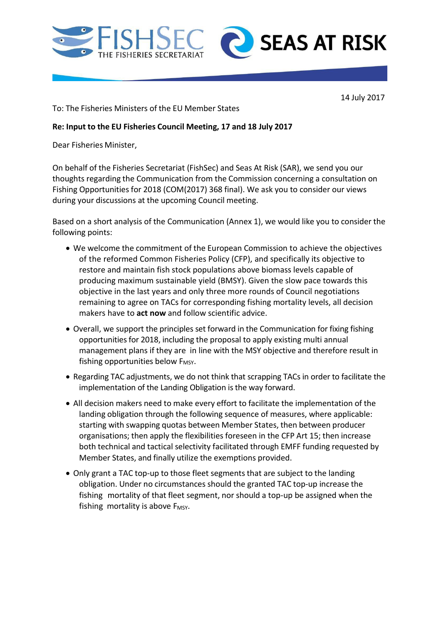



14 July 2017

To: The Fisheries Ministers of the EU Member States

## **Re: Input to the EU Fisheries Council Meeting, 17 and 18 July 2017**

Dear Fisheries Minister,

On behalf of the Fisheries Secretariat (FishSec) and Seas At Risk (SAR), we send you our thoughts regarding the Communication from the Commission concerning a consultation on Fishing Opportunities for 2018 (COM(2017) 368 final). We ask you to consider our views during your discussions at the upcoming Council meeting.

Based on a short analysis of the Communication (Annex 1), we would like you to consider the following points:

- We welcome the commitment of the European Commission to achieve the objectives of the reformed Common Fisheries Policy (CFP), and specifically its objective to restore and maintain fish stock populations above biomass levels capable of producing maximum sustainable yield (BMSY). Given the slow pace towards this objective in the last years and only three more rounds of Council negotiations remaining to agree on TACs for corresponding fishing mortality levels, all decision makers have to **act now** and follow scientific advice.
- Overall, we support the principles set forward in the Communication for fixing fishing opportunities for 2018, including the proposal to apply existing multi annual management plans if they are in line with the MSY objective and therefore result in fishing opportunities below  $F_{MSY}$ .
- Regarding TAC adjustments, we do not think that scrapping TACs in order to facilitate the implementation of the Landing Obligation is the way forward.
- All decision makers need to make every effort to facilitate the implementation of the landing obligation through the following sequence of measures, where applicable: starting with swapping quotas between Member States, then between producer organisations; then apply the flexibilities foreseen in the CFP Art 15; then increase both technical and tactical selectivity facilitated through EMFF funding requested by Member States, and finally utilize the exemptions provided.
- Only grant a TAC top-up to those fleet segments that are subject to the landing obligation. Under no circumstances should the granted TAC top-up increase the fishing mortality of that fleet segment, nor should a top-up be assigned when the fishing mortality is above  $F_{MSY}$ .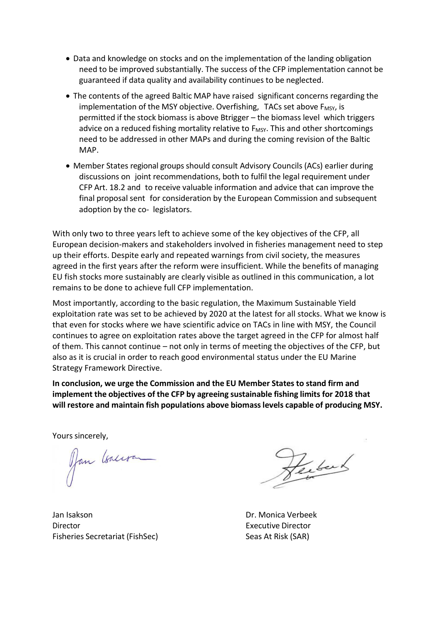- Data and knowledge on stocks and on the implementation of the landing obligation need to be improved substantially. The success of the CFP implementation cannot be guaranteed if data quality and availability continues to be neglected.
- The contents of the agreed Baltic MAP have raised significant concerns regarding the implementation of the MSY objective. Overfishing, TACs set above F<sub>MSY</sub>, is permitted if the stock biomass is above Btrigger – the biomass level which triggers advice on a reduced fishing mortality relative to F<sub>MSY</sub>. This and other shortcomings need to be addressed in other MAPs and during the coming revision of the Baltic MAP.
- Member States regional groups should consult Advisory Councils (ACs) earlier during discussions on joint recommendations, both to fulfil the legal requirement under CFP Art. 18.2 and to receive valuable information and advice that can improve the final proposal sent for consideration by the European Commission and subsequent adoption by the co- legislators.

With only two to three years left to achieve some of the key objectives of the CFP, all European decision-makers and stakeholders involved in fisheries management need to step up their efforts. Despite early and repeated warnings from civil society, the measures agreed in the first years after the reform were insufficient. While the benefits of managing EU fish stocks more sustainably are clearly visible as outlined in this communication, a lot remains to be done to achieve full CFP implementation.

Most importantly, according to the basic regulation, the Maximum Sustainable Yield exploitation rate was set to be achieved by 2020 at the latest for all stocks. What we know is that even for stocks where we have scientific advice on TACs in line with MSY, the Council continues to agree on exploitation rates above the target agreed in the CFP for almost half of them. This cannot continue – not only in terms of meeting the objectives of the CFP, but also as it is crucial in order to reach good environmental status under the EU Marine Strategy Framework Directive.

**In conclusion, we urge the Commission and the EU Member States to stand firm and implement the objectives of the CFP by agreeing sustainable fishing limits for 2018 that will restore and maintain fish populations above biomasslevels capable of producing MSY.**

Yours sincerely,<br>Jan *Isalisan* 

Jan Isakson Dr. Monica Verbeek Director Executive Director Fisheries Secretariat (FishSec) Seas At Risk (SAR)

Perfect